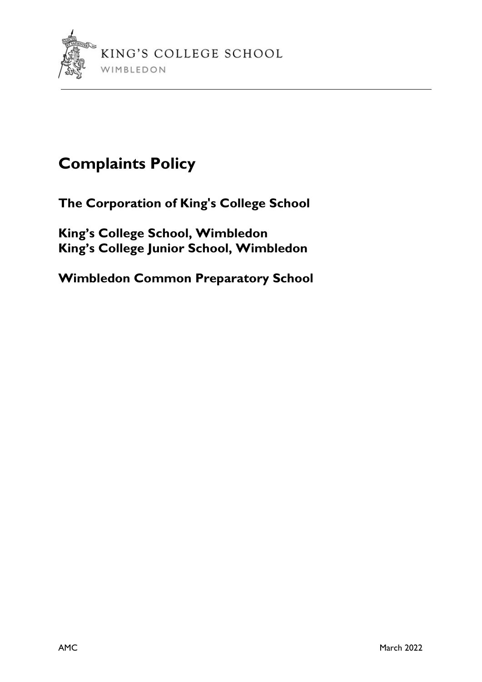

# Complaints Policy

The Corporation of King's College School

King's College School, Wimbledon King's College Junior School, Wimbledon

Wimbledon Common Preparatory School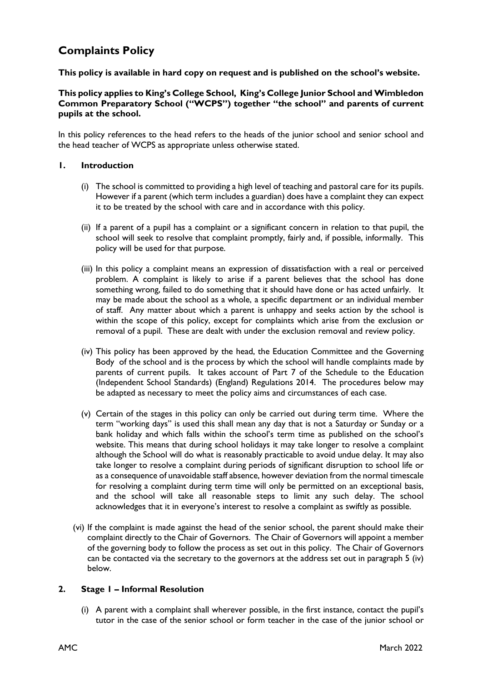## Complaints Policy

This policy is available in hard copy on request and is published on the school's website.

#### This policy applies to King's College School, King's College Junior School and Wimbledon Common Preparatory School ("WCPS") together "the school" and parents of current pupils at the school.

In this policy references to the head refers to the heads of the junior school and senior school and the head teacher of WCPS as appropriate unless otherwise stated.

#### 1. Introduction

- (i) The school is committed to providing a high level of teaching and pastoral care for its pupils. However if a parent (which term includes a guardian) does have a complaint they can expect it to be treated by the school with care and in accordance with this policy.
- (ii) If a parent of a pupil has a complaint or a significant concern in relation to that pupil, the school will seek to resolve that complaint promptly, fairly and, if possible, informally. This policy will be used for that purpose.
- (iii) In this policy a complaint means an expression of dissatisfaction with a real or perceived problem. A complaint is likely to arise if a parent believes that the school has done something wrong, failed to do something that it should have done or has acted unfairly. It may be made about the school as a whole, a specific department or an individual member of staff. Any matter about which a parent is unhappy and seeks action by the school is within the scope of this policy, except for complaints which arise from the exclusion or removal of a pupil. These are dealt with under the exclusion removal and review policy.
- (iv) This policy has been approved by the head, the Education Committee and the Governing Body of the school and is the process by which the school will handle complaints made by parents of current pupils. It takes account of Part 7 of the Schedule to the Education (Independent School Standards) (England) Regulations 2014. The procedures below may be adapted as necessary to meet the policy aims and circumstances of each case.
- (v) Certain of the stages in this policy can only be carried out during term time. Where the term "working days" is used this shall mean any day that is not a Saturday or Sunday or a bank holiday and which falls within the school's term time as published on the school's website. This means that during school holidays it may take longer to resolve a complaint although the School will do what is reasonably practicable to avoid undue delay. It may also take longer to resolve a complaint during periods of significant disruption to school life or as a consequence of unavoidable staff absence, however deviation from the normal timescale for resolving a complaint during term time will only be permitted on an exceptional basis, and the school will take all reasonable steps to limit any such delay. The school acknowledges that it in everyone's interest to resolve a complaint as swiftly as possible.
- (vi) If the complaint is made against the head of the senior school, the parent should make their complaint directly to the Chair of Governors. The Chair of Governors will appoint a member of the governing body to follow the process as set out in this policy. The Chair of Governors can be contacted via the secretary to the governors at the address set out in paragraph 5 (iv) below.

### 2. Stage 1 – Informal Resolution

(i) A parent with a complaint shall wherever possible, in the first instance, contact the pupil's tutor in the case of the senior school or form teacher in the case of the junior school or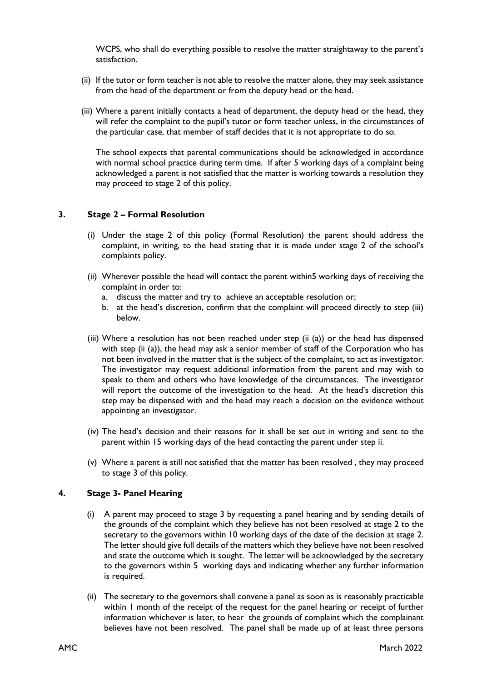WCPS, who shall do everything possible to resolve the matter straightaway to the parent's satisfaction.

- (ii) If the tutor or form teacher is not able to resolve the matter alone, they may seek assistance from the head of the department or from the deputy head or the head.
- (iii) Where a parent initially contacts a head of department, the deputy head or the head, they will refer the complaint to the pupil's tutor or form teacher unless, in the circumstances of the particular case, that member of staff decides that it is not appropriate to do so.

The school expects that parental communications should be acknowledged in accordance with normal school practice during term time. If after 5 working days of a complaint being acknowledged a parent is not satisfied that the matter is working towards a resolution they may proceed to stage 2 of this policy.

### 3. Stage 2 – Formal Resolution

- (i) Under the stage 2 of this policy (Formal Resolution) the parent should address the complaint, in writing, to the head stating that it is made under stage 2 of the school's complaints policy.
- (ii) Wherever possible the head will contact the parent within5 working days of receiving the complaint in order to:
	- a. discuss the matter and try to achieve an acceptable resolution or;
	- b. at the head's discretion, confirm that the complaint will proceed directly to step (iii) below.
- (iii) Where a resolution has not been reached under step (ii (a)) or the head has dispensed with step (ii (a)), the head may ask a senior member of staff of the Corporation who has not been involved in the matter that is the subject of the complaint, to act as investigator. The investigator may request additional information from the parent and may wish to speak to them and others who have knowledge of the circumstances. The investigator will report the outcome of the investigation to the head. At the head's discretion this step may be dispensed with and the head may reach a decision on the evidence without appointing an investigator.
- (iv) The head's decision and their reasons for it shall be set out in writing and sent to the parent within 15 working days of the head contacting the parent under step ii.
- (v) Where a parent is still not satisfied that the matter has been resolved , they may proceed to stage 3 of this policy.

### 4. Stage 3- Panel Hearing

- (i) A parent may proceed to stage 3 by requesting a panel hearing and by sending details of the grounds of the complaint which they believe has not been resolved at stage 2 to the secretary to the governors within 10 working days of the date of the decision at stage 2. The letter should give full details of the matters which they believe have not been resolved and state the outcome which is sought. The letter will be acknowledged by the secretary to the governors within 5 working days and indicating whether any further information is required.
- (ii) The secretary to the governors shall convene a panel as soon as is reasonably practicable within 1 month of the receipt of the request for the panel hearing or receipt of further information whichever is later, to hear the grounds of complaint which the complainant believes have not been resolved. The panel shall be made up of at least three persons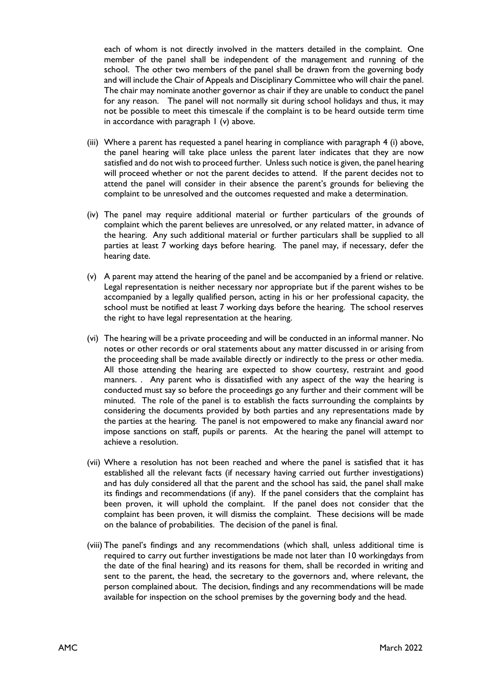each of whom is not directly involved in the matters detailed in the complaint. One member of the panel shall be independent of the management and running of the school. The other two members of the panel shall be drawn from the governing body and will include the Chair of Appeals and Disciplinary Committee who will chair the panel. The chair may nominate another governor as chair if they are unable to conduct the panel for any reason. The panel will not normally sit during school holidays and thus, it may not be possible to meet this timescale if the complaint is to be heard outside term time in accordance with paragraph 1 (v) above.

- (iii) Where a parent has requested a panel hearing in compliance with paragraph 4 (i) above, the panel hearing will take place unless the parent later indicates that they are now satisfied and do not wish to proceed further. Unless such notice is given, the panel hearing will proceed whether or not the parent decides to attend. If the parent decides not to attend the panel will consider in their absence the parent's grounds for believing the complaint to be unresolved and the outcomes requested and make a determination.
- (iv) The panel may require additional material or further particulars of the grounds of complaint which the parent believes are unresolved, or any related matter, in advance of the hearing. Any such additional material or further particulars shall be supplied to all parties at least 7 working days before hearing. The panel may, if necessary, defer the hearing date.
- (v) A parent may attend the hearing of the panel and be accompanied by a friend or relative. Legal representation is neither necessary nor appropriate but if the parent wishes to be accompanied by a legally qualified person, acting in his or her professional capacity, the school must be notified at least 7 working days before the hearing. The school reserves the right to have legal representation at the hearing.
- (vi) The hearing will be a private proceeding and will be conducted in an informal manner. No notes or other records or oral statements about any matter discussed in or arising from the proceeding shall be made available directly or indirectly to the press or other media. All those attending the hearing are expected to show courtesy, restraint and good manners. . Any parent who is dissatisfied with any aspect of the way the hearing is conducted must say so before the proceedings go any further and their comment will be minuted. The role of the panel is to establish the facts surrounding the complaints by considering the documents provided by both parties and any representations made by the parties at the hearing. The panel is not empowered to make any financial award nor impose sanctions on staff, pupils or parents. At the hearing the panel will attempt to achieve a resolution.
- (vii) Where a resolution has not been reached and where the panel is satisfied that it has established all the relevant facts (if necessary having carried out further investigations) and has duly considered all that the parent and the school has said, the panel shall make its findings and recommendations (if any). If the panel considers that the complaint has been proven, it will uphold the complaint. If the panel does not consider that the complaint has been proven, it will dismiss the complaint. These decisions will be made on the balance of probabilities. The decision of the panel is final.
- (viii) The panel's findings and any recommendations (which shall, unless additional time is required to carry out further investigations be made not later than 10 workingdays from the date of the final hearing) and its reasons for them, shall be recorded in writing and sent to the parent, the head, the secretary to the governors and, where relevant, the person complained about. The decision, findings and any recommendations will be made available for inspection on the school premises by the governing body and the head.